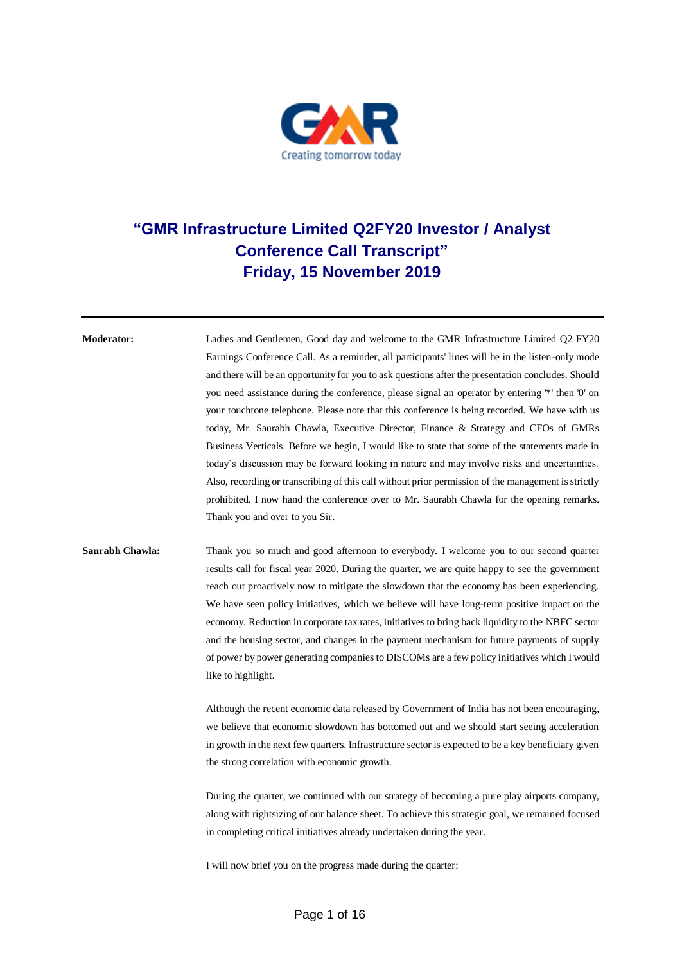

## **"GMR Infrastructure Limited Q2FY20 Investor / Analyst Conference Call Transcript" Friday, 15 November 2019**

**Moderator:** Ladies and Gentlemen, Good day and welcome to the GMR Infrastructure Limited Q2 FY20 Earnings Conference Call. As a reminder, all participants' lines will be in the listen-only mode and there will be an opportunity for you to ask questions after the presentation concludes. Should you need assistance during the conference, please signal an operator by entering '\*' then '0' on your touchtone telephone. Please note that this conference is being recorded. We have with us today, Mr. Saurabh Chawla, Executive Director, Finance & Strategy and CFOs of GMRs Business Verticals. Before we begin, I would like to state that some of the statements made in today's discussion may be forward looking in nature and may involve risks and uncertainties. Also, recording or transcribing of this call without prior permission of the management is strictly prohibited. I now hand the conference over to Mr. Saurabh Chawla for the opening remarks. Thank you and over to you Sir.

## **Saurabh Chawla:** Thank you so much and good afternoon to everybody. I welcome you to our second quarter results call for fiscal year 2020. During the quarter, we are quite happy to see the government reach out proactively now to mitigate the slowdown that the economy has been experiencing. We have seen policy initiatives, which we believe will have long-term positive impact on the economy. Reduction in corporate tax rates, initiatives to bring back liquidity to the NBFC sector and the housing sector, and changes in the payment mechanism for future payments of supply of power by power generating companies to DISCOMs are a few policy initiatives which I would like to highlight.

Although the recent economic data released by Government of India has not been encouraging, we believe that economic slowdown has bottomed out and we should start seeing acceleration in growth in the next few quarters. Infrastructure sector is expected to be a key beneficiary given the strong correlation with economic growth.

During the quarter, we continued with our strategy of becoming a pure play airports company, along with rightsizing of our balance sheet. To achieve this strategic goal, we remained focused in completing critical initiatives already undertaken during the year.

I will now brief you on the progress made during the quarter: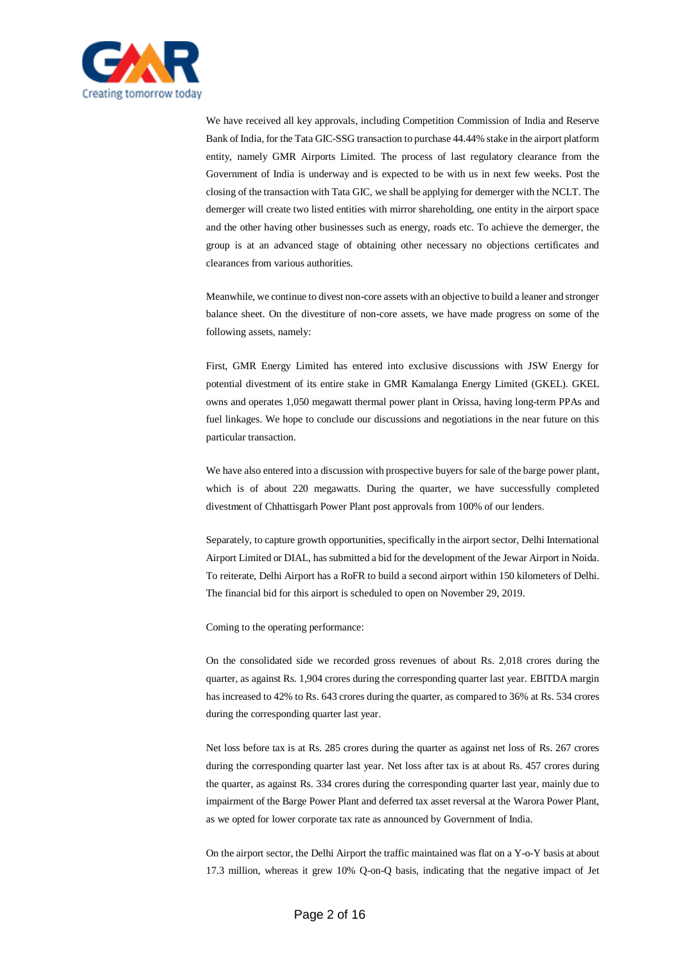

We have received all key approvals, including Competition Commission of India and Reserve Bank of India, for the Tata GIC-SSG transaction to purchase 44.44% stake in the airport platform entity, namely GMR Airports Limited. The process of last regulatory clearance from the Government of India is underway and is expected to be with us in next few weeks. Post the closing of the transaction with Tata GIC, we shall be applying for demerger with the NCLT. The demerger will create two listed entities with mirror shareholding, one entity in the airport space and the other having other businesses such as energy, roads etc. To achieve the demerger, the group is at an advanced stage of obtaining other necessary no objections certificates and clearances from various authorities.

Meanwhile, we continue to divest non-core assets with an objective to build a leaner and stronger balance sheet. On the divestiture of non-core assets, we have made progress on some of the following assets, namely:

First, GMR Energy Limited has entered into exclusive discussions with JSW Energy for potential divestment of its entire stake in GMR Kamalanga Energy Limited (GKEL). GKEL owns and operates 1,050 megawatt thermal power plant in Orissa, having long-term PPAs and fuel linkages. We hope to conclude our discussions and negotiations in the near future on this particular transaction.

We have also entered into a discussion with prospective buyers for sale of the barge power plant, which is of about 220 megawatts. During the quarter, we have successfully completed divestment of Chhattisgarh Power Plant post approvals from 100% of our lenders.

Separately, to capture growth opportunities, specifically in the airport sector, Delhi International Airport Limited or DIAL, has submitted a bid for the development of the Jewar Airport in Noida. To reiterate, Delhi Airport has a RoFR to build a second airport within 150 kilometers of Delhi. The financial bid for this airport is scheduled to open on November 29, 2019.

Coming to the operating performance:

On the consolidated side we recorded gross revenues of about Rs. 2,018 crores during the quarter, as against Rs. 1,904 crores during the corresponding quarter last year. EBITDA margin has increased to 42% to Rs. 643 crores during the quarter, as compared to 36% at Rs. 534 crores during the corresponding quarter last year.

Net loss before tax is at Rs. 285 crores during the quarter as against net loss of Rs. 267 crores during the corresponding quarter last year. Net loss after tax is at about Rs. 457 crores during the quarter, as against Rs. 334 crores during the corresponding quarter last year, mainly due to impairment of the Barge Power Plant and deferred tax asset reversal at the Warora Power Plant, as we opted for lower corporate tax rate as announced by Government of India.

On the airport sector, the Delhi Airport the traffic maintained was flat on a Y-o-Y basis at about 17.3 million, whereas it grew 10% Q-on-Q basis, indicating that the negative impact of Jet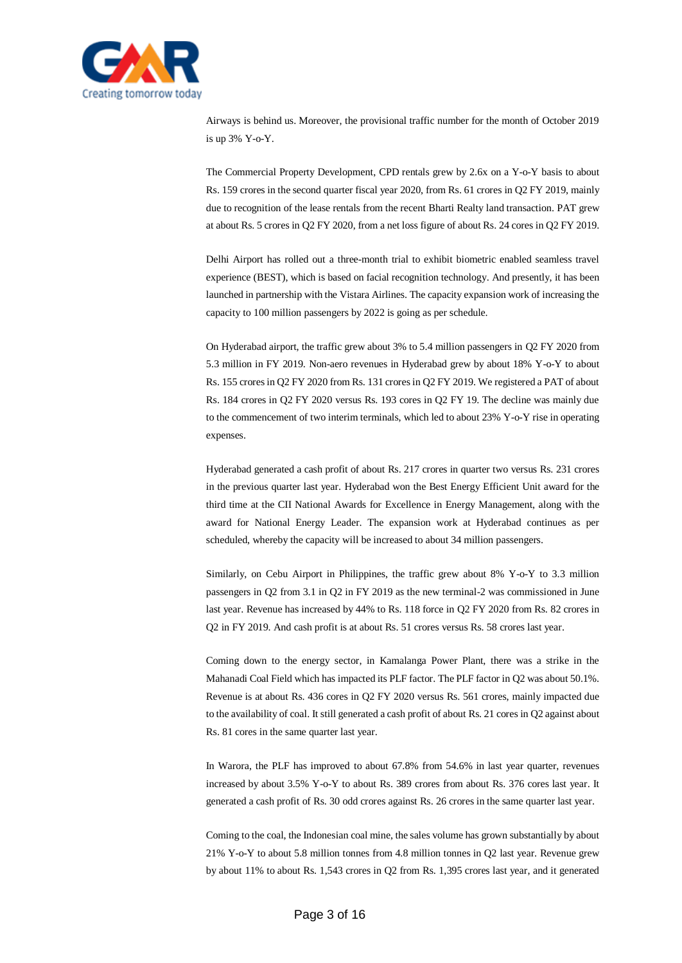

Airways is behind us. Moreover, the provisional traffic number for the month of October 2019 is up 3% Y-o-Y.

The Commercial Property Development, CPD rentals grew by 2.6x on a Y-o-Y basis to about Rs. 159 crores in the second quarter fiscal year 2020, from Rs. 61 crores in Q2 FY 2019, mainly due to recognition of the lease rentals from the recent Bharti Realty land transaction. PAT grew at about Rs. 5 crores in Q2 FY 2020, from a net loss figure of about Rs. 24 cores in Q2 FY 2019.

Delhi Airport has rolled out a three-month trial to exhibit biometric enabled seamless travel experience (BEST), which is based on facial recognition technology. And presently, it has been launched in partnership with the Vistara Airlines. The capacity expansion work of increasing the capacity to 100 million passengers by 2022 is going as per schedule.

On Hyderabad airport, the traffic grew about 3% to 5.4 million passengers in Q2 FY 2020 from 5.3 million in FY 2019. Non-aero revenues in Hyderabad grew by about 18% Y-o-Y to about Rs. 155 crores in Q2 FY 2020 from Rs. 131 crores in Q2 FY 2019. We registered a PAT of about Rs. 184 crores in Q2 FY 2020 versus Rs. 193 cores in Q2 FY 19. The decline was mainly due to the commencement of two interim terminals, which led to about 23% Y-o-Y rise in operating expenses.

Hyderabad generated a cash profit of about Rs. 217 crores in quarter two versus Rs. 231 crores in the previous quarter last year. Hyderabad won the Best Energy Efficient Unit award for the third time at the CII National Awards for Excellence in Energy Management, along with the award for National Energy Leader. The expansion work at Hyderabad continues as per scheduled, whereby the capacity will be increased to about 34 million passengers.

Similarly, on Cebu Airport in Philippines, the traffic grew about 8% Y-o-Y to 3.3 million passengers in Q2 from 3.1 in Q2 in FY 2019 as the new terminal-2 was commissioned in June last year. Revenue has increased by 44% to Rs. 118 force in Q2 FY 2020 from Rs. 82 crores in Q2 in FY 2019. And cash profit is at about Rs. 51 crores versus Rs. 58 crores last year.

Coming down to the energy sector, in Kamalanga Power Plant, there was a strike in the Mahanadi Coal Field which has impacted its PLF factor. The PLF factor in Q2 was about 50.1%. Revenue is at about Rs. 436 cores in Q2 FY 2020 versus Rs. 561 crores, mainly impacted due to the availability of coal. It still generated a cash profit of about Rs. 21 cores in Q2 against about Rs. 81 cores in the same quarter last year.

In Warora, the PLF has improved to about 67.8% from 54.6% in last year quarter, revenues increased by about 3.5% Y-o-Y to about Rs. 389 crores from about Rs. 376 cores last year. It generated a cash profit of Rs. 30 odd crores against Rs. 26 crores in the same quarter last year.

Coming to the coal, the Indonesian coal mine, the sales volume has grown substantially by about 21% Y-o-Y to about 5.8 million tonnes from 4.8 million tonnes in Q2 last year. Revenue grew by about 11% to about Rs. 1,543 crores in Q2 from Rs. 1,395 crores last year, and it generated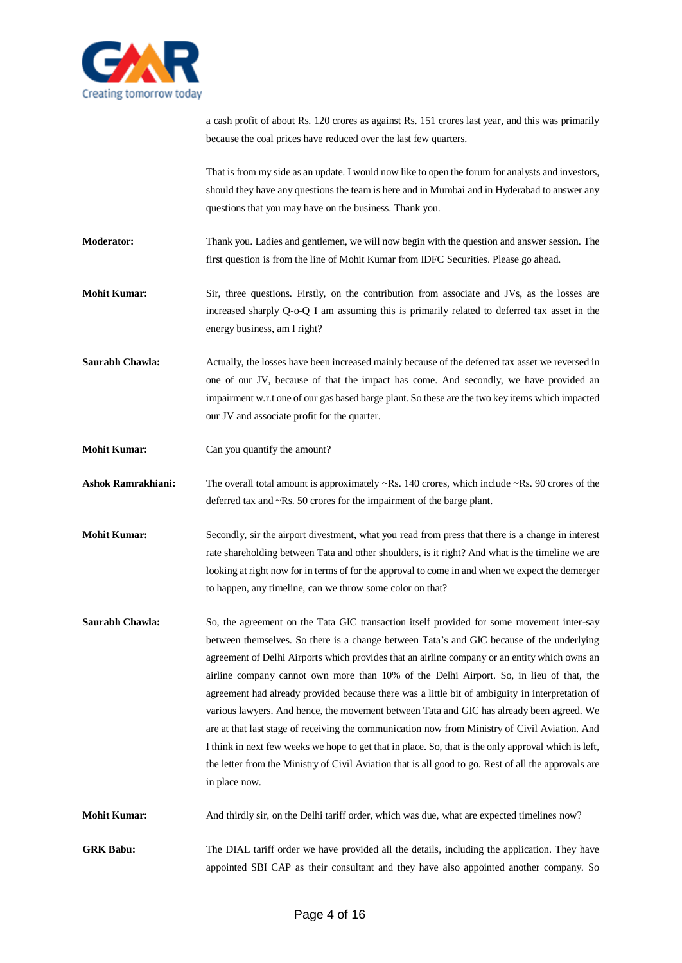

a cash profit of about Rs. 120 crores as against Rs. 151 crores last year, and this was primarily because the coal prices have reduced over the last few quarters.

That is from my side as an update. I would now like to open the forum for analysts and investors, should they have any questions the team is here and in Mumbai and in Hyderabad to answer any questions that you may have on the business. Thank you.

**Moderator:** Thank you. Ladies and gentlemen, we will now begin with the question and answer session. The first question is from the line of Mohit Kumar from IDFC Securities. Please go ahead.

**Mohit Kumar:** Sir, three questions. Firstly, on the contribution from associate and JVs, as the losses are increased sharply Q-o-Q I am assuming this is primarily related to deferred tax asset in the energy business, am I right?

**Saurabh Chawla:** Actually, the losses have been increased mainly because of the deferred tax asset we reversed in one of our JV, because of that the impact has come. And secondly, we have provided an impairment w.r.t one of our gas based barge plant. So these are the two key items which impacted our JV and associate profit for the quarter.

**Mohit Kumar:** Can you quantify the amount?

Ashok Ramrakhiani: The overall total amount is approximately ~Rs. 140 crores, which include ~Rs. 90 crores of the deferred tax and ~Rs. 50 crores for the impairment of the barge plant.

**Mohit Kumar:** Secondly, sir the airport divestment, what you read from press that there is a change in interest rate shareholding between Tata and other shoulders, is it right? And what is the timeline we are looking at right now for in terms of for the approval to come in and when we expect the demerger to happen, any timeline, can we throw some color on that?

Saurabh Chawla: So, the agreement on the Tata GIC transaction itself provided for some movement inter-say between themselves. So there is a change between Tata's and GIC because of the underlying agreement of Delhi Airports which provides that an airline company or an entity which owns an airline company cannot own more than 10% of the Delhi Airport. So, in lieu of that, the agreement had already provided because there was a little bit of ambiguity in interpretation of various lawyers. And hence, the movement between Tata and GIC has already been agreed. We are at that last stage of receiving the communication now from Ministry of Civil Aviation. And I think in next few weeks we hope to get that in place. So, that is the only approval which is left, the letter from the Ministry of Civil Aviation that is all good to go. Rest of all the approvals are in place now.

**Mohit Kumar:** And thirdly sir, on the Delhi tariff order, which was due, what are expected timelines now?

GRK Babu: The DIAL tariff order we have provided all the details, including the application. They have appointed SBI CAP as their consultant and they have also appointed another company. So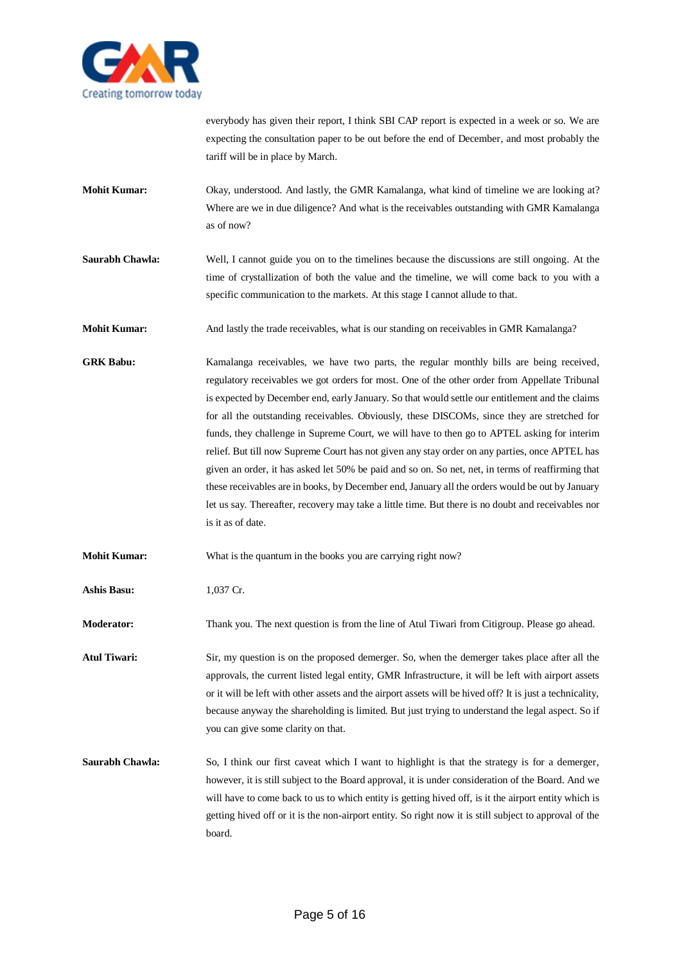

everybody has given their report, I think SBI CAP report is expected in a week or so. We are expecting the consultation paper to be out before the end of December, and most probably the tariff will be in place by March.

- **Mohit Kumar:** Okay, understood. And lastly, the GMR Kamalanga, what kind of timeline we are looking at? Where are we in due diligence? And what is the receivables outstanding with GMR Kamalanga as of now?
- **Saurabh Chawla:** Well, I cannot guide you on to the timelines because the discussions are still ongoing. At the time of crystallization of both the value and the timeline, we will come back to you with a specific communication to the markets. At this stage I cannot allude to that.
- **Mohit Kumar:** And lastly the trade receivables, what is our standing on receivables in GMR Kamalanga?
- GRK Babu: Kamalanga receivables, we have two parts, the regular monthly bills are being received, regulatory receivables we got orders for most. One of the other order from Appellate Tribunal is expected by December end, early January. So that would settle our entitlement and the claims for all the outstanding receivables. Obviously, these DISCOMs, since they are stretched for funds, they challenge in Supreme Court, we will have to then go to APTEL asking for interim relief. But till now Supreme Court has not given any stay order on any parties, once APTEL has given an order, it has asked let 50% be paid and so on. So net, net, in terms of reaffirming that these receivables are in books, by December end, January all the orders would be out by January let us say. Thereafter, recovery may take a little time. But there is no doubt and receivables nor is it as of date.
- **Mohit Kumar:** What is the quantum in the books you are carrying right now?
- **Ashis Basu:** 1,037 Cr.

**Moderator:** Thank you. The next question is from the line of Atul Tiwari from Citigroup. Please go ahead.

**Atul Tiwari:** Sir, my question is on the proposed demerger. So, when the demerger takes place after all the approvals, the current listed legal entity, GMR Infrastructure, it will be left with airport assets or it will be left with other assets and the airport assets will be hived off? It is just a technicality, because anyway the shareholding is limited. But just trying to understand the legal aspect. So if you can give some clarity on that.

**Saurabh Chawla:** So, I think our first caveat which I want to highlight is that the strategy is for a demerger, however, it is still subject to the Board approval, it is under consideration of the Board. And we will have to come back to us to which entity is getting hived off, is it the airport entity which is getting hived off or it is the non-airport entity. So right now it is still subject to approval of the board.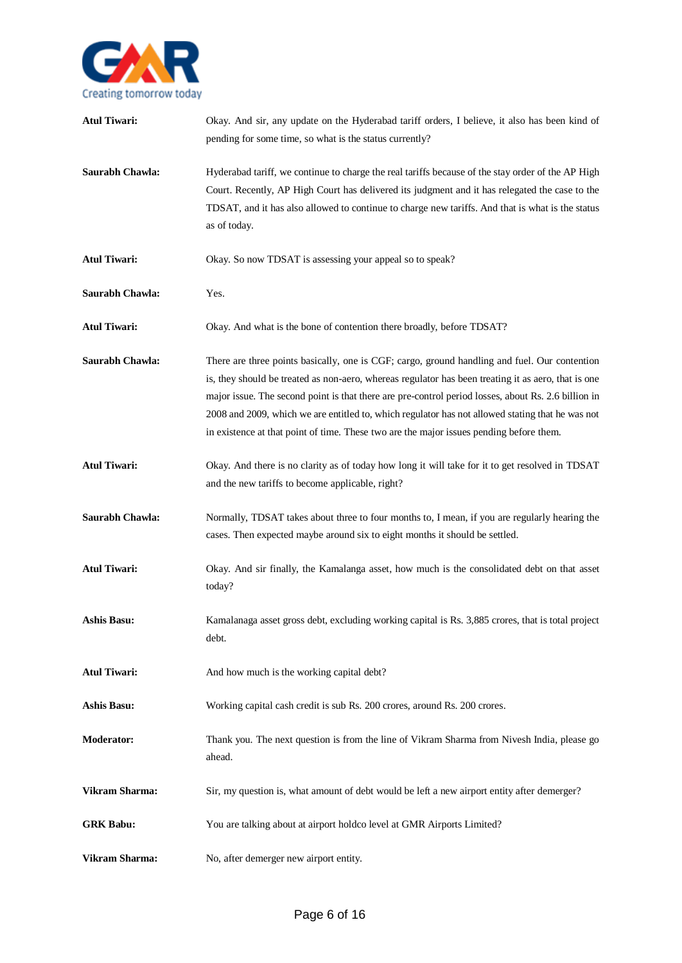

| <b>Atul Tiwari:</b> | Okay. And sir, any update on the Hyderabad tariff orders, I believe, it also has been kind of<br>pending for some time, so what is the status currently?                                                                                                                                                                                                                                                                                                                                                   |
|---------------------|------------------------------------------------------------------------------------------------------------------------------------------------------------------------------------------------------------------------------------------------------------------------------------------------------------------------------------------------------------------------------------------------------------------------------------------------------------------------------------------------------------|
| Saurabh Chawla:     | Hyderabad tariff, we continue to charge the real tariffs because of the stay order of the AP High<br>Court. Recently, AP High Court has delivered its judgment and it has relegated the case to the<br>TDSAT, and it has also allowed to continue to charge new tariffs. And that is what is the status<br>as of today.                                                                                                                                                                                    |
| <b>Atul Tiwari:</b> | Okay. So now TDSAT is assessing your appeal so to speak?                                                                                                                                                                                                                                                                                                                                                                                                                                                   |
| Saurabh Chawla:     | Yes.                                                                                                                                                                                                                                                                                                                                                                                                                                                                                                       |
| <b>Atul Tiwari:</b> | Okay. And what is the bone of contention there broadly, before TDSAT?                                                                                                                                                                                                                                                                                                                                                                                                                                      |
| Saurabh Chawla:     | There are three points basically, one is CGF; cargo, ground handling and fuel. Our contention<br>is, they should be treated as non-aero, whereas regulator has been treating it as aero, that is one<br>major issue. The second point is that there are pre-control period losses, about Rs. 2.6 billion in<br>2008 and 2009, which we are entitled to, which regulator has not allowed stating that he was not<br>in existence at that point of time. These two are the major issues pending before them. |
| <b>Atul Tiwari:</b> | Okay. And there is no clarity as of today how long it will take for it to get resolved in TDSAT<br>and the new tariffs to become applicable, right?                                                                                                                                                                                                                                                                                                                                                        |
| Saurabh Chawla:     | Normally, TDSAT takes about three to four months to, I mean, if you are regularly hearing the<br>cases. Then expected maybe around six to eight months it should be settled.                                                                                                                                                                                                                                                                                                                               |
| <b>Atul Tiwari:</b> | Okay. And sir finally, the Kamalanga asset, how much is the consolidated debt on that asset<br>today?                                                                                                                                                                                                                                                                                                                                                                                                      |
| Ashis Basu:         | Kamalanaga asset gross debt, excluding working capital is Rs. 3,885 crores, that is total project<br>debt.                                                                                                                                                                                                                                                                                                                                                                                                 |
| <b>Atul Tiwari:</b> | And how much is the working capital debt?                                                                                                                                                                                                                                                                                                                                                                                                                                                                  |
| <b>Ashis Basu:</b>  | Working capital cash credit is sub Rs. 200 crores, around Rs. 200 crores.                                                                                                                                                                                                                                                                                                                                                                                                                                  |
| <b>Moderator:</b>   | Thank you. The next question is from the line of Vikram Sharma from Nivesh India, please go<br>ahead.                                                                                                                                                                                                                                                                                                                                                                                                      |
| Vikram Sharma:      | Sir, my question is, what amount of debt would be left a new airport entity after demerger?                                                                                                                                                                                                                                                                                                                                                                                                                |
| <b>GRK Babu:</b>    | You are talking about at airport holdco level at GMR Airports Limited?                                                                                                                                                                                                                                                                                                                                                                                                                                     |
| Vikram Sharma:      | No, after demerger new airport entity.                                                                                                                                                                                                                                                                                                                                                                                                                                                                     |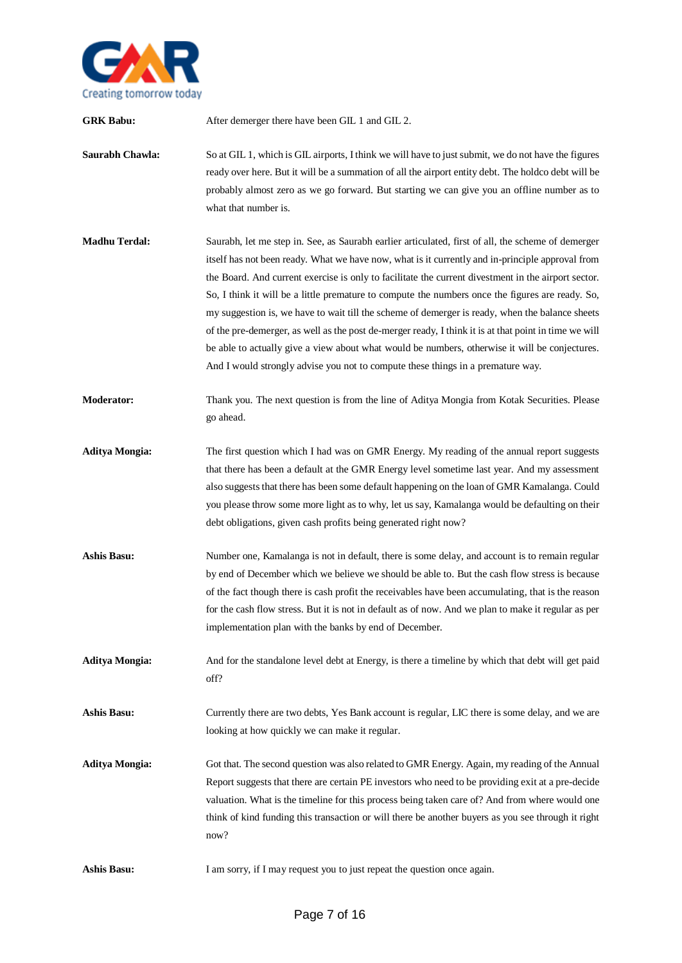

| <b>GRK Babu:</b>      | After demerger there have been GIL 1 and GIL 2.                                                                                                                                                                                                                                                                                                                                                                                                                                                                                                                                                                                                                                                                                                                                                                    |
|-----------------------|--------------------------------------------------------------------------------------------------------------------------------------------------------------------------------------------------------------------------------------------------------------------------------------------------------------------------------------------------------------------------------------------------------------------------------------------------------------------------------------------------------------------------------------------------------------------------------------------------------------------------------------------------------------------------------------------------------------------------------------------------------------------------------------------------------------------|
| Saurabh Chawla:       | So at GIL 1, which is GIL airports, I think we will have to just submit, we do not have the figures<br>ready over here. But it will be a summation of all the airport entity debt. The holdco debt will be<br>probably almost zero as we go forward. But starting we can give you an offline number as to<br>what that number is.                                                                                                                                                                                                                                                                                                                                                                                                                                                                                  |
| <b>Madhu Terdal:</b>  | Saurabh, let me step in. See, as Saurabh earlier articulated, first of all, the scheme of demerger<br>itself has not been ready. What we have now, what is it currently and in-principle approval from<br>the Board. And current exercise is only to facilitate the current divestment in the airport sector.<br>So, I think it will be a little premature to compute the numbers once the figures are ready. So,<br>my suggestion is, we have to wait till the scheme of demerger is ready, when the balance sheets<br>of the pre-demerger, as well as the post de-merger ready, I think it is at that point in time we will<br>be able to actually give a view about what would be numbers, otherwise it will be conjectures.<br>And I would strongly advise you not to compute these things in a premature way. |
| Moderator:            | Thank you. The next question is from the line of Aditya Mongia from Kotak Securities. Please<br>go ahead.                                                                                                                                                                                                                                                                                                                                                                                                                                                                                                                                                                                                                                                                                                          |
| <b>Aditya Mongia:</b> | The first question which I had was on GMR Energy. My reading of the annual report suggests<br>that there has been a default at the GMR Energy level sometime last year. And my assessment<br>also suggests that there has been some default happening on the loan of GMR Kamalanga. Could<br>you please throw some more light as to why, let us say, Kamalanga would be defaulting on their<br>debt obligations, given cash profits being generated right now?                                                                                                                                                                                                                                                                                                                                                     |
| <b>Ashis Basu:</b>    | Number one, Kamalanga is not in default, there is some delay, and account is to remain regular<br>by end of December which we believe we should be able to. But the cash flow stress is because<br>of the fact though there is cash profit the receivables have been accumulating, that is the reason<br>for the cash flow stress. But it is not in default as of now. And we plan to make it regular as per<br>implementation plan with the banks by end of December.                                                                                                                                                                                                                                                                                                                                             |
| <b>Aditya Mongia:</b> | And for the standalone level debt at Energy, is there a timeline by which that debt will get paid<br>off?                                                                                                                                                                                                                                                                                                                                                                                                                                                                                                                                                                                                                                                                                                          |
| <b>Ashis Basu:</b>    | Currently there are two debts, Yes Bank account is regular, LIC there is some delay, and we are<br>looking at how quickly we can make it regular.                                                                                                                                                                                                                                                                                                                                                                                                                                                                                                                                                                                                                                                                  |
| <b>Aditya Mongia:</b> | Got that. The second question was also related to GMR Energy. Again, my reading of the Annual<br>Report suggests that there are certain PE investors who need to be providing exit at a pre-decide<br>valuation. What is the timeline for this process being taken care of? And from where would one<br>think of kind funding this transaction or will there be another buyers as you see through it right<br>now?                                                                                                                                                                                                                                                                                                                                                                                                 |
| <b>Ashis Basu:</b>    | I am sorry, if I may request you to just repeat the question once again.                                                                                                                                                                                                                                                                                                                                                                                                                                                                                                                                                                                                                                                                                                                                           |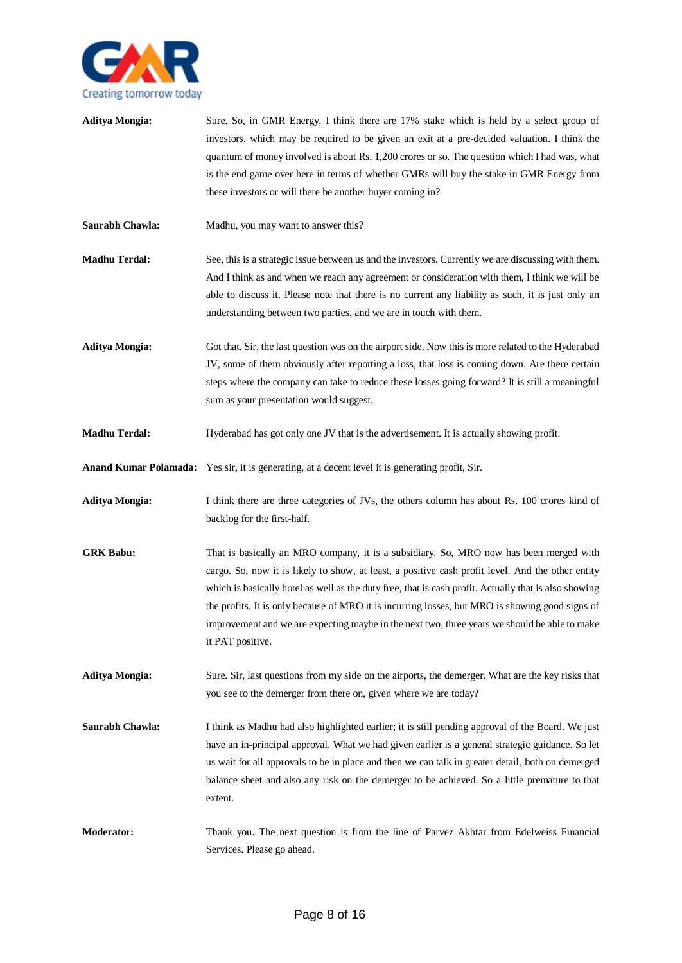

| <b>Aditya Mongia:</b> | Sure. So, in GMR Energy, I think there are 17% stake which is held by a select group of<br>investors, which may be required to be given an exit at a pre-decided valuation. I think the<br>quantum of money involved is about Rs. 1,200 crores or so. The question which I had was, what<br>is the end game over here in terms of whether GMRs will buy the stake in GMR Energy from<br>these investors or will there be another buyer coming in?                                                                            |
|-----------------------|------------------------------------------------------------------------------------------------------------------------------------------------------------------------------------------------------------------------------------------------------------------------------------------------------------------------------------------------------------------------------------------------------------------------------------------------------------------------------------------------------------------------------|
| Saurabh Chawla:       | Madhu, you may want to answer this?                                                                                                                                                                                                                                                                                                                                                                                                                                                                                          |
| <b>Madhu Terdal:</b>  | See, this is a strategic issue between us and the investors. Currently we are discussing with them.<br>And I think as and when we reach any agreement or consideration with them, I think we will be<br>able to discuss it. Please note that there is no current any liability as such, it is just only an<br>understanding between two parties, and we are in touch with them.                                                                                                                                              |
| <b>Aditya Mongia:</b> | Got that. Sir, the last question was on the airport side. Now this is more related to the Hyderabad<br>JV, some of them obviously after reporting a loss, that loss is coming down. Are there certain<br>steps where the company can take to reduce these losses going forward? It is still a meaningful<br>sum as your presentation would suggest.                                                                                                                                                                          |
| <b>Madhu Terdal:</b>  | Hyderabad has got only one JV that is the advertisement. It is actually showing profit.                                                                                                                                                                                                                                                                                                                                                                                                                                      |
|                       | <b>Anand Kumar Polamada:</b> Yes sir, it is generating, at a decent level it is generating profit, Sir.                                                                                                                                                                                                                                                                                                                                                                                                                      |
| <b>Aditya Mongia:</b> | I think there are three categories of JVs, the others column has about Rs. 100 crores kind of<br>backlog for the first-half.                                                                                                                                                                                                                                                                                                                                                                                                 |
| <b>GRK Babu:</b>      | That is basically an MRO company, it is a subsidiary. So, MRO now has been merged with<br>cargo. So, now it is likely to show, at least, a positive cash profit level. And the other entity<br>which is basically hotel as well as the duty free, that is cash profit. Actually that is also showing<br>the profits. It is only because of MRO it is incurring losses, but MRO is showing good signs of<br>improvement and we are expecting maybe in the next two, three years we should be able to make<br>it PAT positive. |
| <b>Aditya Mongia:</b> | Sure. Sir, last questions from my side on the airports, the demerger. What are the key risks that<br>you see to the demerger from there on, given where we are today?                                                                                                                                                                                                                                                                                                                                                        |
| Saurabh Chawla:       | I think as Madhu had also highlighted earlier; it is still pending approval of the Board. We just<br>have an in-principal approval. What we had given earlier is a general strategic guidance. So let<br>us wait for all approvals to be in place and then we can talk in greater detail, both on demerged<br>balance sheet and also any risk on the demerger to be achieved. So a little premature to that<br>extent.                                                                                                       |
| <b>Moderator:</b>     | Thank you. The next question is from the line of Parvez Akhtar from Edelweiss Financial<br>Services. Please go ahead.                                                                                                                                                                                                                                                                                                                                                                                                        |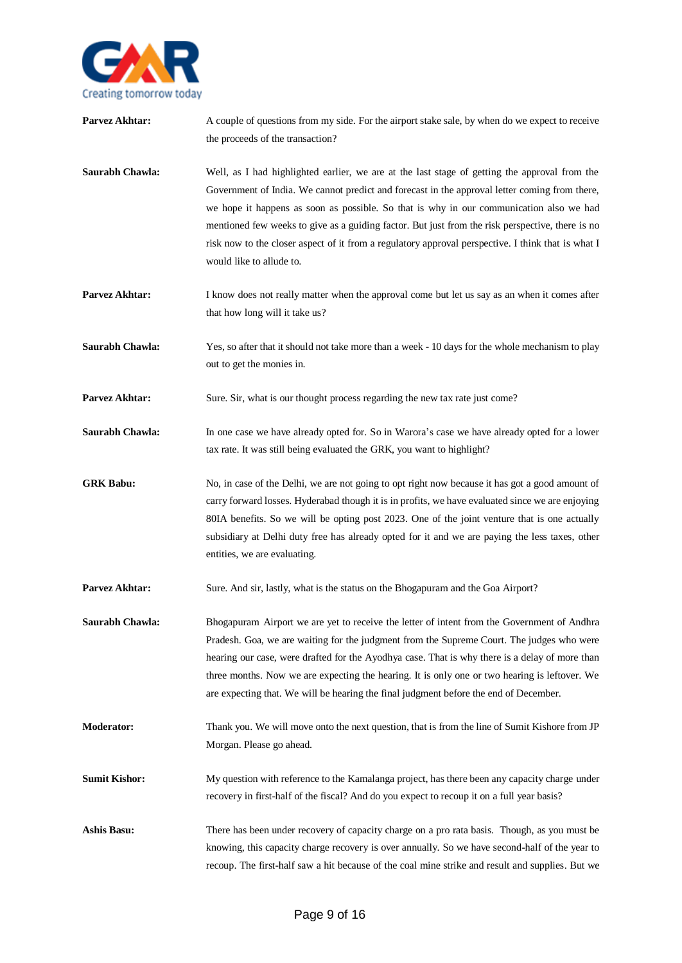

| Parvez Akhtar:       | A couple of questions from my side. For the airport stake sale, by when do we expect to receive<br>the proceeds of the transaction?                                                                                                                                                                                                                                                                                                                                                                                             |
|----------------------|---------------------------------------------------------------------------------------------------------------------------------------------------------------------------------------------------------------------------------------------------------------------------------------------------------------------------------------------------------------------------------------------------------------------------------------------------------------------------------------------------------------------------------|
| Saurabh Chawla:      | Well, as I had highlighted earlier, we are at the last stage of getting the approval from the<br>Government of India. We cannot predict and forecast in the approval letter coming from there,<br>we hope it happens as soon as possible. So that is why in our communication also we had<br>mentioned few weeks to give as a guiding factor. But just from the risk perspective, there is no<br>risk now to the closer aspect of it from a regulatory approval perspective. I think that is what I<br>would like to allude to. |
| Parvez Akhtar:       | I know does not really matter when the approval come but let us say as an when it comes after<br>that how long will it take us?                                                                                                                                                                                                                                                                                                                                                                                                 |
| Saurabh Chawla:      | Yes, so after that it should not take more than a week - 10 days for the whole mechanism to play<br>out to get the monies in.                                                                                                                                                                                                                                                                                                                                                                                                   |
| Parvez Akhtar:       | Sure. Sir, what is our thought process regarding the new tax rate just come?                                                                                                                                                                                                                                                                                                                                                                                                                                                    |
| Saurabh Chawla:      | In one case we have already opted for. So in Warora's case we have already opted for a lower<br>tax rate. It was still being evaluated the GRK, you want to highlight?                                                                                                                                                                                                                                                                                                                                                          |
| <b>GRK Babu:</b>     | No, in case of the Delhi, we are not going to opt right now because it has got a good amount of<br>carry forward losses. Hyderabad though it is in profits, we have evaluated since we are enjoying<br>80IA benefits. So we will be opting post 2023. One of the joint venture that is one actually<br>subsidiary at Delhi duty free has already opted for it and we are paying the less taxes, other<br>entities, we are evaluating.                                                                                           |
| Parvez Akhtar:       | Sure. And sir, lastly, what is the status on the Bhogapuram and the Goa Airport?                                                                                                                                                                                                                                                                                                                                                                                                                                                |
| Saurabh Chawla:      | Bhogapuram Airport we are yet to receive the letter of intent from the Government of Andhra<br>Pradesh. Goa, we are waiting for the judgment from the Supreme Court. The judges who were<br>hearing our case, were drafted for the Ayodhya case. That is why there is a delay of more than<br>three months. Now we are expecting the hearing. It is only one or two hearing is leftover. We<br>are expecting that. We will be hearing the final judgment before the end of December.                                            |
| <b>Moderator:</b>    | Thank you. We will move onto the next question, that is from the line of Sumit Kishore from JP<br>Morgan. Please go ahead.                                                                                                                                                                                                                                                                                                                                                                                                      |
| <b>Sumit Kishor:</b> | My question with reference to the Kamalanga project, has there been any capacity charge under<br>recovery in first-half of the fiscal? And do you expect to recoup it on a full year basis?                                                                                                                                                                                                                                                                                                                                     |
| <b>Ashis Basu:</b>   | There has been under recovery of capacity charge on a pro rata basis. Though, as you must be<br>knowing, this capacity charge recovery is over annually. So we have second-half of the year to<br>recoup. The first-half saw a hit because of the coal mine strike and result and supplies. But we                                                                                                                                                                                                                              |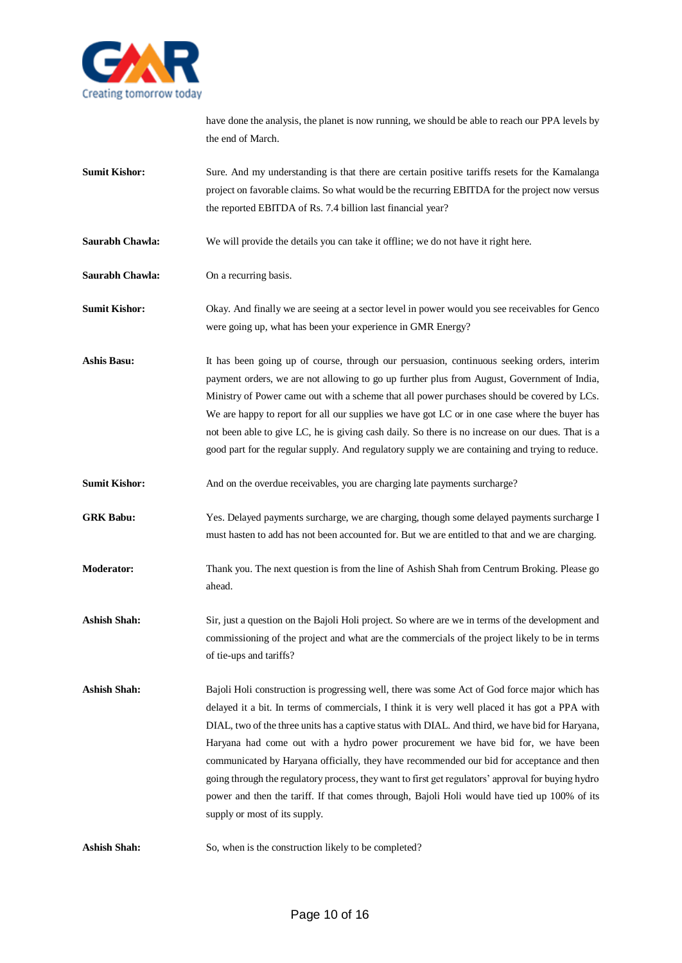

have done the analysis, the planet is now running, we should be able to reach our PPA levels by the end of March.

**Sumit Kishor:** Sure. And my understanding is that there are certain positive tariffs resets for the Kamalanga project on favorable claims. So what would be the recurring EBITDA for the project now versus the reported EBITDA of Rs. 7.4 billion last financial year?

**Saurabh Chawla:** We will provide the details you can take it offline; we do not have it right here.

**Saurabh Chawla:** On a recurring basis.

**Sumit Kishor:** Okay. And finally we are seeing at a sector level in power would you see receivables for Genco were going up, what has been your experience in GMR Energy?

**Ashis Basu:** It has been going up of course, through our persuasion, continuous seeking orders, interim payment orders, we are not allowing to go up further plus from August, Government of India, Ministry of Power came out with a scheme that all power purchases should be covered by LCs. We are happy to report for all our supplies we have got LC or in one case where the buyer has not been able to give LC, he is giving cash daily. So there is no increase on our dues. That is a good part for the regular supply. And regulatory supply we are containing and trying to reduce.

**Sumit Kishor:** And on the overdue receivables, you are charging late payments surcharge?

GRK Babu: Yes. Delayed payments surcharge, we are charging, though some delayed payments surcharge I must hasten to add has not been accounted for. But we are entitled to that and we are charging.

**Moderator:** Thank you. The next question is from the line of Ashish Shah from Centrum Broking. Please go ahead.

**Ashish Shah:** Sir, just a question on the Bajoli Holi project. So where are we in terms of the development and commissioning of the project and what are the commercials of the project likely to be in terms of tie-ups and tariffs?

**Ashish Shah:** Bajoli Holi construction is progressing well, there was some Act of God force major which has delayed it a bit. In terms of commercials, I think it is very well placed it has got a PPA with DIAL, two of the three units has a captive status with DIAL. And third, we have bid for Haryana, Haryana had come out with a hydro power procurement we have bid for, we have been communicated by Haryana officially, they have recommended our bid for acceptance and then going through the regulatory process, they want to first get regulators' approval for buying hydro power and then the tariff. If that comes through, Bajoli Holi would have tied up 100% of its supply or most of its supply.

Ashish Shah: So, when is the construction likely to be completed?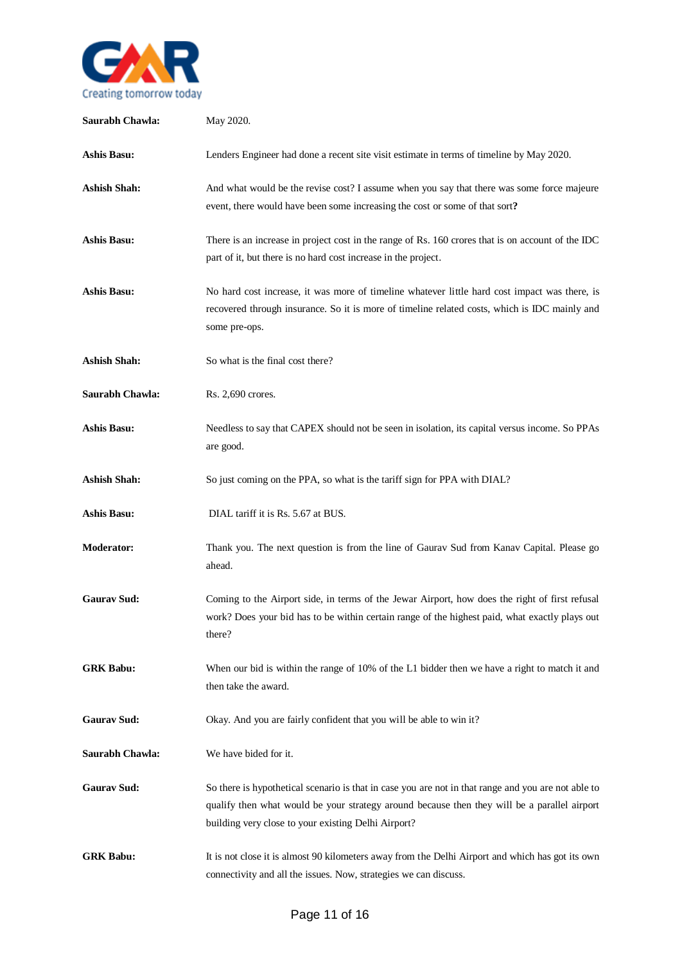

| Saurabh Chawla:     | May 2020.                                                                                                                                                                                                                                                  |
|---------------------|------------------------------------------------------------------------------------------------------------------------------------------------------------------------------------------------------------------------------------------------------------|
| <b>Ashis Basu:</b>  | Lenders Engineer had done a recent site visit estimate in terms of timeline by May 2020.                                                                                                                                                                   |
| <b>Ashish Shah:</b> | And what would be the revise cost? I assume when you say that there was some force majeure<br>event, there would have been some increasing the cost or some of that sort?                                                                                  |
| <b>Ashis Basu:</b>  | There is an increase in project cost in the range of Rs. 160 crores that is on account of the IDC<br>part of it, but there is no hard cost increase in the project.                                                                                        |
| <b>Ashis Basu:</b>  | No hard cost increase, it was more of timeline whatever little hard cost impact was there, is<br>recovered through insurance. So it is more of timeline related costs, which is IDC mainly and<br>some pre-ops.                                            |
| <b>Ashish Shah:</b> | So what is the final cost there?                                                                                                                                                                                                                           |
| Saurabh Chawla:     | Rs. 2,690 crores.                                                                                                                                                                                                                                          |
| <b>Ashis Basu:</b>  | Needless to say that CAPEX should not be seen in isolation, its capital versus income. So PPAs<br>are good.                                                                                                                                                |
| <b>Ashish Shah:</b> | So just coming on the PPA, so what is the tariff sign for PPA with DIAL?                                                                                                                                                                                   |
| <b>Ashis Basu:</b>  | DIAL tariff it is Rs. 5.67 at BUS.                                                                                                                                                                                                                         |
| <b>Moderator:</b>   | Thank you. The next question is from the line of Gaurav Sud from Kanav Capital. Please go<br>ahead.                                                                                                                                                        |
| <b>Gaurav Sud:</b>  | Coming to the Airport side, in terms of the Jewar Airport, how does the right of first refusal<br>work? Does your bid has to be within certain range of the highest paid, what exactly plays out<br>there?                                                 |
| <b>GRK Babu:</b>    | When our bid is within the range of 10% of the L1 bidder then we have a right to match it and<br>then take the award.                                                                                                                                      |
| <b>Gaurav Sud:</b>  | Okay. And you are fairly confident that you will be able to win it?                                                                                                                                                                                        |
| Saurabh Chawla:     | We have bided for it.                                                                                                                                                                                                                                      |
| <b>Gaurav Sud:</b>  | So there is hypothetical scenario is that in case you are not in that range and you are not able to<br>qualify then what would be your strategy around because then they will be a parallel airport<br>building very close to your existing Delhi Airport? |
| <b>GRK Babu:</b>    | It is not close it is almost 90 kilometers away from the Delhi Airport and which has got its own<br>connectivity and all the issues. Now, strategies we can discuss.                                                                                       |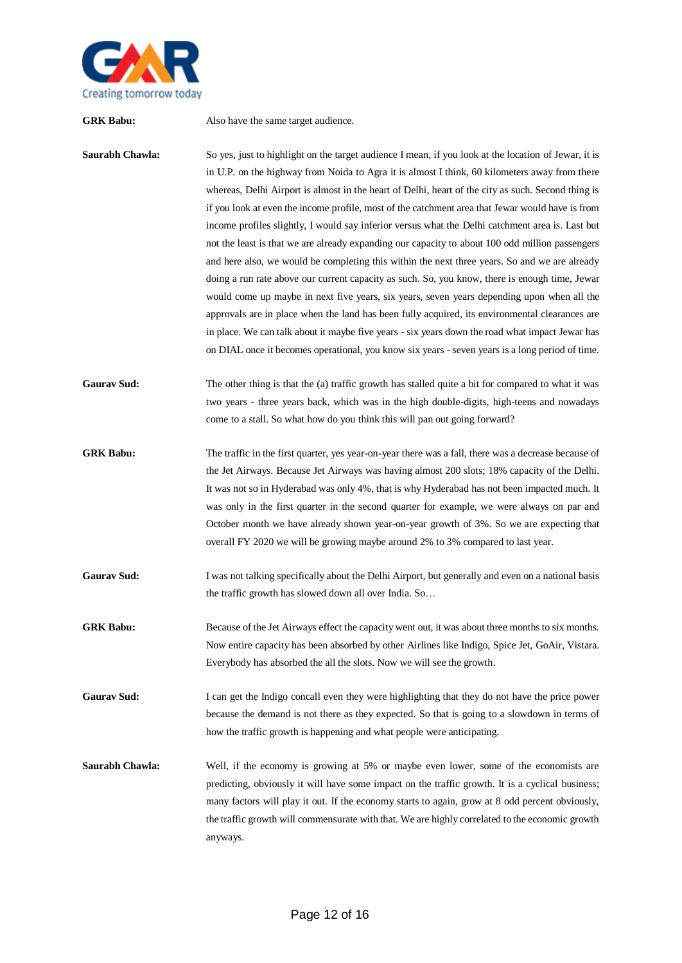

**GRK Babu:** Also have the same target audience. **Saurabh Chawla:** So yes, just to highlight on the target audience I mean, if you look at the location of Jewar, it is in U.P. on the highway from Noida to Agra it is almost I think, 60 kilometers away from there whereas, Delhi Airport is almost in the heart of Delhi, heart of the city as such. Second thing is if you look at even the income profile, most of the catchment area that Jewar would have is from income profiles slightly, I would say inferior versus what the Delhi catchment area is. Last but not the least is that we are already expanding our capacity to about 100 odd million passengers and here also, we would be completing this within the next three years. So and we are already doing a run rate above our current capacity as such. So, you know, there is enough time, Jewar would come up maybe in next five years, six years, seven years depending upon when all the approvals are in place when the land has been fully acquired, its environmental clearances are in place. We can talk about it maybe five years - six years down the road what impact Jewar has on DIAL once it becomes operational, you know six years -seven years is a long period of time. **Gaurav Sud:** The other thing is that the (a) traffic growth has stalled quite a bit for compared to what it was two years - three years back, which was in the high double-digits, high-teens and nowadays come to a stall. So what how do you think this will pan out going forward? **GRK Babu:** The traffic in the first quarter, yes year-on-year there was a fall, there was a decrease because of the Jet Airways. Because Jet Airways was having almost 200 slots; 18% capacity of the Delhi. It was not so in Hyderabad was only 4%, that is why Hyderabad has not been impacted much. It was only in the first quarter in the second quarter for example, we were always on par and October month we have already shown year-on-year growth of 3%. So we are expecting that overall FY 2020 we will be growing maybe around 2% to 3% compared to last year. Gaurav Sud: I was not talking specifically about the Delhi Airport, but generally and even on a national basis the traffic growth has slowed down all over India. So… **GRK Babu:** Because of the Jet Airways effect the capacity went out, it was about three months to six months. Now entire capacity has been absorbed by other Airlines like Indigo, Spice Jet, GoAir, Vistara. Everybody has absorbed the all the slots. Now we will see the growth. **Gaurav Sud:** I can get the Indigo concall even they were highlighting that they do not have the price power because the demand is not there as they expected. So that is going to a slowdown in terms of how the traffic growth is happening and what people were anticipating.

**Saurabh Chawla:** Well, if the economy is growing at 5% or maybe even lower, some of the economists are predicting, obviously it will have some impact on the traffic growth. It is a cyclical business; many factors will play it out. If the economy starts to again, grow at 8 odd percent obviously, the traffic growth will commensurate with that. We are highly correlated to the economic growth anyways.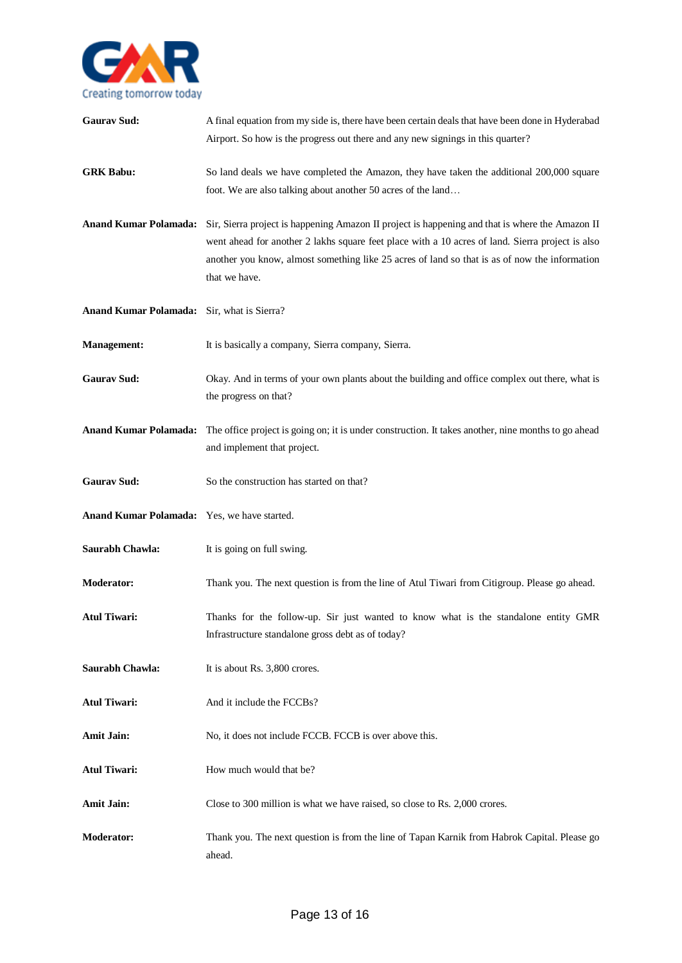

| <b>Gaurav Sud:</b>                          | A final equation from my side is, there have been certain deals that have been done in Hyderabad<br>Airport. So how is the progress out there and any new signings in this quarter?                                                                                                                                   |
|---------------------------------------------|-----------------------------------------------------------------------------------------------------------------------------------------------------------------------------------------------------------------------------------------------------------------------------------------------------------------------|
| <b>GRK Babu:</b>                            | So land deals we have completed the Amazon, they have taken the additional 200,000 square<br>foot. We are also talking about another 50 acres of the land                                                                                                                                                             |
| <b>Anand Kumar Polamada:</b>                | Sir, Sierra project is happening Amazon II project is happening and that is where the Amazon II<br>went ahead for another 2 lakhs square feet place with a 10 acres of land. Sierra project is also<br>another you know, almost something like 25 acres of land so that is as of now the information<br>that we have. |
| Anand Kumar Polamada: Sir, what is Sierra?  |                                                                                                                                                                                                                                                                                                                       |
| <b>Management:</b>                          | It is basically a company, Sierra company, Sierra.                                                                                                                                                                                                                                                                    |
| <b>Gaurav Sud:</b>                          | Okay. And in terms of your own plants about the building and office complex out there, what is<br>the progress on that?                                                                                                                                                                                               |
|                                             | Anand Kumar Polamada: The office project is going on; it is under construction. It takes another, nine months to go ahead<br>and implement that project.                                                                                                                                                              |
| <b>Gaurav Sud:</b>                          | So the construction has started on that?                                                                                                                                                                                                                                                                              |
| Anand Kumar Polamada: Yes, we have started. |                                                                                                                                                                                                                                                                                                                       |
| Saurabh Chawla:                             | It is going on full swing.                                                                                                                                                                                                                                                                                            |
| <b>Moderator:</b>                           | Thank you. The next question is from the line of Atul Tiwari from Citigroup. Please go ahead.                                                                                                                                                                                                                         |
| <b>Atul Tiwari:</b>                         | Thanks for the follow-up. Sir just wanted to know what is the standalone entity GMR<br>Infrastructure standalone gross debt as of today?                                                                                                                                                                              |
| Saurabh Chawla:                             | It is about Rs. 3,800 crores.                                                                                                                                                                                                                                                                                         |
| <b>Atul Tiwari:</b>                         | And it include the FCCBs?                                                                                                                                                                                                                                                                                             |
| <b>Amit Jain:</b>                           | No, it does not include FCCB. FCCB is over above this.                                                                                                                                                                                                                                                                |
| <b>Atul Tiwari:</b>                         | How much would that be?                                                                                                                                                                                                                                                                                               |
| <b>Amit Jain:</b>                           | Close to 300 million is what we have raised, so close to Rs. 2,000 crores.                                                                                                                                                                                                                                            |
| <b>Moderator:</b>                           | Thank you. The next question is from the line of Tapan Karnik from Habrok Capital. Please go<br>ahead.                                                                                                                                                                                                                |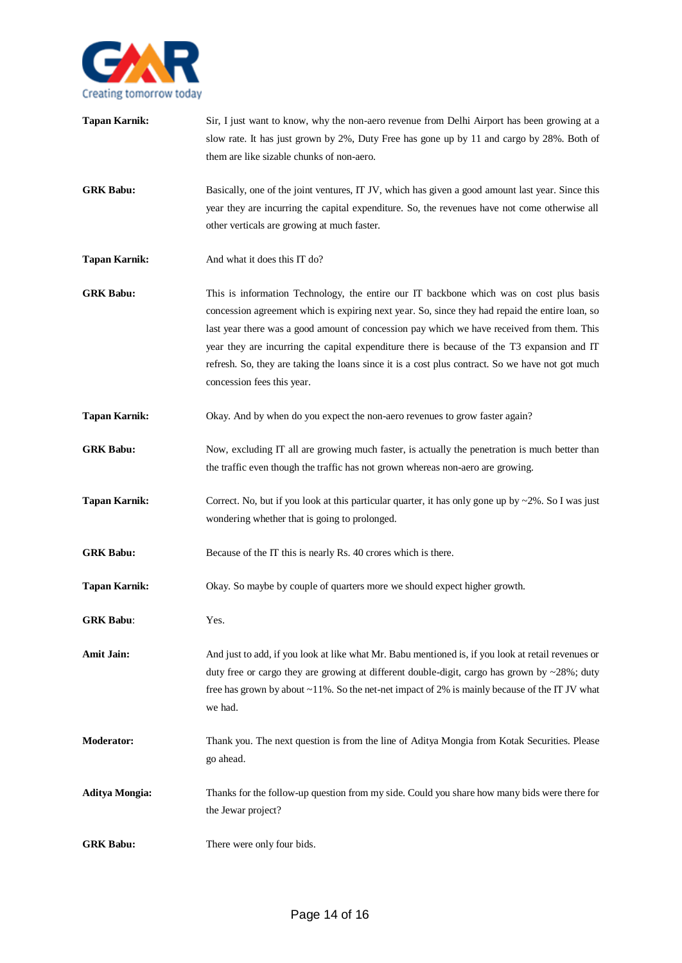

| <b>Tapan Karnik:</b>  | Sir, I just want to know, why the non-aero revenue from Delhi Airport has been growing at a<br>slow rate. It has just grown by 2%, Duty Free has gone up by 11 and cargo by 28%. Both of<br>them are like sizable chunks of non-aero.                                                                                                                                                                                                                                                                                     |
|-----------------------|---------------------------------------------------------------------------------------------------------------------------------------------------------------------------------------------------------------------------------------------------------------------------------------------------------------------------------------------------------------------------------------------------------------------------------------------------------------------------------------------------------------------------|
| <b>GRK Babu:</b>      | Basically, one of the joint ventures, IT JV, which has given a good amount last year. Since this<br>year they are incurring the capital expenditure. So, the revenues have not come otherwise all<br>other verticals are growing at much faster.                                                                                                                                                                                                                                                                          |
| <b>Tapan Karnik:</b>  | And what it does this IT do?                                                                                                                                                                                                                                                                                                                                                                                                                                                                                              |
| <b>GRK Babu:</b>      | This is information Technology, the entire our IT backbone which was on cost plus basis<br>concession agreement which is expiring next year. So, since they had repaid the entire loan, so<br>last year there was a good amount of concession pay which we have received from them. This<br>year they are incurring the capital expenditure there is because of the T3 expansion and IT<br>refresh. So, they are taking the loans since it is a cost plus contract. So we have not got much<br>concession fees this year. |
| <b>Tapan Karnik:</b>  | Okay. And by when do you expect the non-aero revenues to grow faster again?                                                                                                                                                                                                                                                                                                                                                                                                                                               |
| <b>GRK Babu:</b>      | Now, excluding IT all are growing much faster, is actually the penetration is much better than<br>the traffic even though the traffic has not grown whereas non-aero are growing.                                                                                                                                                                                                                                                                                                                                         |
| <b>Tapan Karnik:</b>  | Correct. No, but if you look at this particular quarter, it has only gone up by $\sim$ 2%. So I was just<br>wondering whether that is going to prolonged.                                                                                                                                                                                                                                                                                                                                                                 |
| <b>GRK Babu:</b>      | Because of the IT this is nearly Rs. 40 crores which is there.                                                                                                                                                                                                                                                                                                                                                                                                                                                            |
| <b>Tapan Karnik:</b>  | Okay. So maybe by couple of quarters more we should expect higher growth.                                                                                                                                                                                                                                                                                                                                                                                                                                                 |
| <b>GRK Babu:</b>      | Yes.                                                                                                                                                                                                                                                                                                                                                                                                                                                                                                                      |
| Amit Jain:            | And just to add, if you look at like what Mr. Babu mentioned is, if you look at retail revenues or<br>duty free or cargo they are growing at different double-digit, cargo has grown by $\sim$ 28%; duty<br>free has grown by about ~11%. So the net-net impact of 2% is mainly because of the IT JV what<br>we had.                                                                                                                                                                                                      |
| <b>Moderator:</b>     | Thank you. The next question is from the line of Aditya Mongia from Kotak Securities. Please<br>go ahead.                                                                                                                                                                                                                                                                                                                                                                                                                 |
| <b>Aditya Mongia:</b> | Thanks for the follow-up question from my side. Could you share how many bids were there for<br>the Jewar project?                                                                                                                                                                                                                                                                                                                                                                                                        |
| <b>GRK Babu:</b>      | There were only four bids.                                                                                                                                                                                                                                                                                                                                                                                                                                                                                                |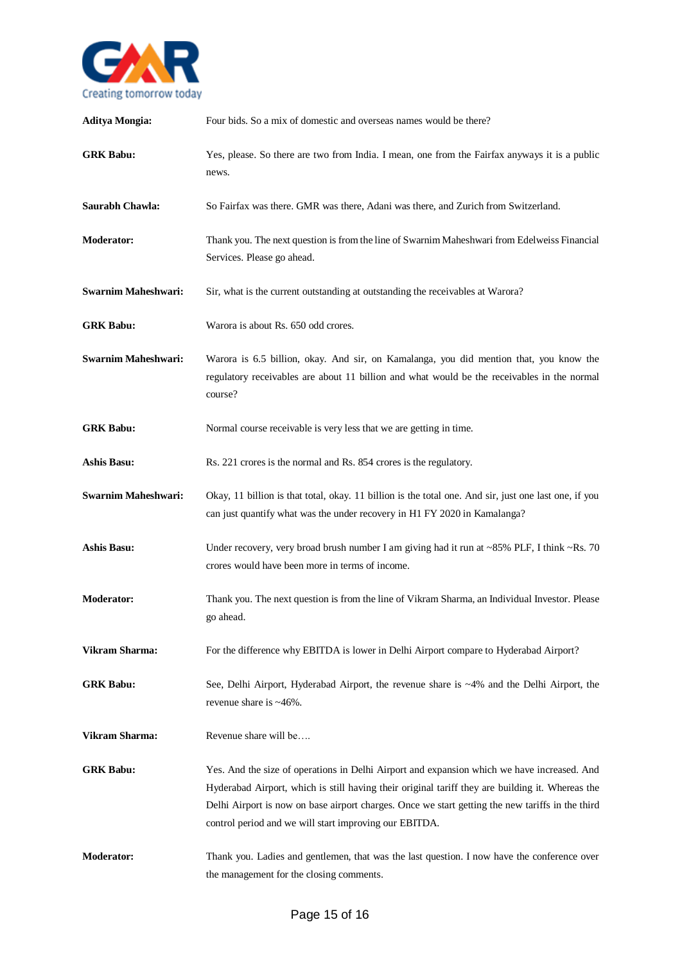

| <b>Aditya Mongia:</b>      | Four bids. So a mix of domestic and overseas names would be there?                                                                                                                                                                                                                                                                                            |
|----------------------------|---------------------------------------------------------------------------------------------------------------------------------------------------------------------------------------------------------------------------------------------------------------------------------------------------------------------------------------------------------------|
| <b>GRK Babu:</b>           | Yes, please. So there are two from India. I mean, one from the Fairfax anyways it is a public<br>news.                                                                                                                                                                                                                                                        |
| Saurabh Chawla:            | So Fairfax was there. GMR was there, Adani was there, and Zurich from Switzerland.                                                                                                                                                                                                                                                                            |
| <b>Moderator:</b>          | Thank you. The next question is from the line of Swarnim Maheshwari from Edelweiss Financial<br>Services. Please go ahead.                                                                                                                                                                                                                                    |
| <b>Swarnim Maheshwari:</b> | Sir, what is the current outstanding at outstanding the receivables at Warora?                                                                                                                                                                                                                                                                                |
| <b>GRK Babu:</b>           | Warora is about Rs. 650 odd crores.                                                                                                                                                                                                                                                                                                                           |
| <b>Swarnim Maheshwari:</b> | Warora is 6.5 billion, okay. And sir, on Kamalanga, you did mention that, you know the<br>regulatory receivables are about 11 billion and what would be the receivables in the normal<br>course?                                                                                                                                                              |
| <b>GRK Babu:</b>           | Normal course receivable is very less that we are getting in time.                                                                                                                                                                                                                                                                                            |
| <b>Ashis Basu:</b>         | Rs. 221 crores is the normal and Rs. 854 crores is the regulatory.                                                                                                                                                                                                                                                                                            |
| <b>Swarnim Maheshwari:</b> | Okay, 11 billion is that total, okay. 11 billion is the total one. And sir, just one last one, if you<br>can just quantify what was the under recovery in H1 FY 2020 in Kamalanga?                                                                                                                                                                            |
| <b>Ashis Basu:</b>         | Under recovery, very broad brush number I am giving had it run at ~85% PLF, I think ~Rs. 70<br>crores would have been more in terms of income.                                                                                                                                                                                                                |
| <b>Moderator:</b>          | Thank you. The next question is from the line of Vikram Sharma, an Individual Investor. Please<br>go ahead.                                                                                                                                                                                                                                                   |
| Vikram Sharma:             | For the difference why EBITDA is lower in Delhi Airport compare to Hyderabad Airport?                                                                                                                                                                                                                                                                         |
| <b>GRK Babu:</b>           | See, Delhi Airport, Hyderabad Airport, the revenue share is ~4% and the Delhi Airport, the<br>revenue share is ~46%.                                                                                                                                                                                                                                          |
| Vikram Sharma:             | Revenue share will be                                                                                                                                                                                                                                                                                                                                         |
| <b>GRK Babu:</b>           | Yes. And the size of operations in Delhi Airport and expansion which we have increased. And<br>Hyderabad Airport, which is still having their original tariff they are building it. Whereas the<br>Delhi Airport is now on base airport charges. Once we start getting the new tariffs in the third<br>control period and we will start improving our EBITDA. |
| <b>Moderator:</b>          | Thank you. Ladies and gentlemen, that was the last question. I now have the conference over<br>the management for the closing comments.                                                                                                                                                                                                                       |